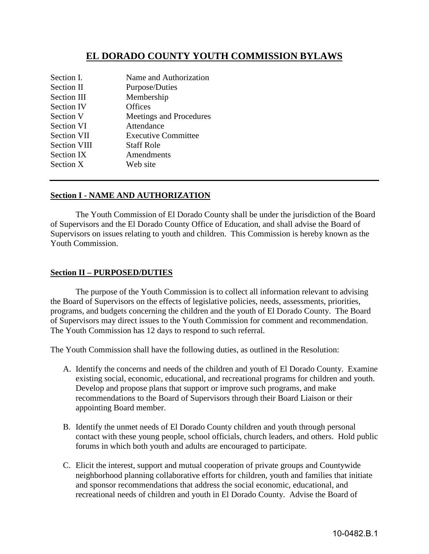# **EL DORADO COUNTY YOUTH COMMISSION BYLAWS**

| Section I.          | Name and Authorization     |
|---------------------|----------------------------|
| Section II          | Purpose/Duties             |
| Section III         | Membership                 |
| <b>Section IV</b>   | Offices                    |
| Section V           | Meetings and Procedures    |
| Section VI          | Attendance                 |
| <b>Section VII</b>  | <b>Executive Committee</b> |
| <b>Section VIII</b> | <b>Staff Role</b>          |
| Section IX          | Amendments                 |
| Section X           | Web site                   |
|                     |                            |

#### **Section I - NAME AND AUTHORIZATION**

 The Youth Commission of El Dorado County shall be under the jurisdiction of the Board of Supervisors and the El Dorado County Office of Education, and shall advise the Board of Supervisors on issues relating to youth and children. This Commission is hereby known as the Youth Commission.

#### **Section II – PURPOSED/DUTIES**

 The purpose of the Youth Commission is to collect all information relevant to advising the Board of Supervisors on the effects of legislative policies, needs, assessments, priorities, programs, and budgets concerning the children and the youth of El Dorado County. The Board of Supervisors may direct issues to the Youth Commission for comment and recommendation. The Youth Commission has 12 days to respond to such referral.

The Youth Commission shall have the following duties, as outlined in the Resolution:

- A. Identify the concerns and needs of the children and youth of El Dorado County. Examine existing social, economic, educational, and recreational programs for children and youth. Develop and propose plans that support or improve such programs, and make recommendations to the Board of Supervisors through their Board Liaison or their appointing Board member.
- B. Identify the unmet needs of El Dorado County children and youth through personal contact with these young people, school officials, church leaders, and others. Hold public forums in which both youth and adults are encouraged to participate.
- C. Elicit the interest, support and mutual cooperation of private groups and Countywide neighborhood planning collaborative efforts for children, youth and families that initiate and sponsor recommendations that address the social economic, educational, and recreational needs of children and youth in El Dorado County. Advise the Board of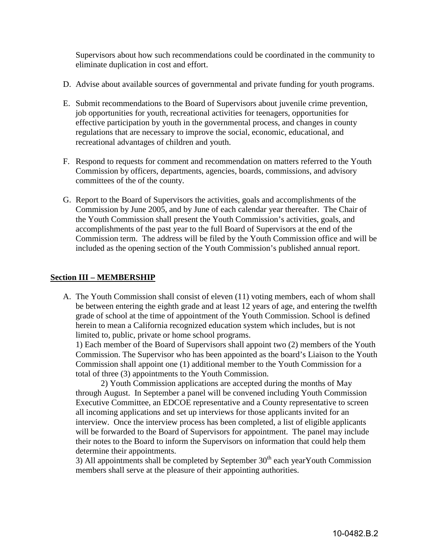Supervisors about how such recommendations could be coordinated in the community to eliminate duplication in cost and effort.

- D. Advise about available sources of governmental and private funding for youth programs.
- E. Submit recommendations to the Board of Supervisors about juvenile crime prevention, job opportunities for youth, recreational activities for teenagers, opportunities for effective participation by youth in the governmental process, and changes in county regulations that are necessary to improve the social, economic, educational, and recreational advantages of children and youth.
- F. Respond to requests for comment and recommendation on matters referred to the Youth Commission by officers, departments, agencies, boards, commissions, and advisory committees of the of the county.
- G. Report to the Board of Supervisors the activities, goals and accomplishments of the Commission by June 2005, and by June of each calendar year thereafter. The Chair of the Youth Commission shall present the Youth Commission's activities, goals, and accomplishments of the past year to the full Board of Supervisors at the end of the Commission term. The address will be filed by the Youth Commission office and will be included as the opening section of the Youth Commission's published annual report.

#### **Section III – MEMBERSHIP**

A. The Youth Commission shall consist of eleven (11) voting members, each of whom shall be between entering the eighth grade and at least 12 years of age, and entering the twelfth grade of school at the time of appointment of the Youth Commission. School is defined herein to mean a California recognized education system which includes, but is not limited to, public, private or home school programs.

1) Each member of the Board of Supervisors shall appoint two (2) members of the Youth Commission. The Supervisor who has been appointed as the board's Liaison to the Youth Commission shall appoint one (1) additional member to the Youth Commission for a total of three (3) appointments to the Youth Commission.

2) Youth Commission applications are accepted during the months of May through August. In September a panel will be convened including Youth Commission Executive Committee, an EDCOE representative and a County representative to screen all incoming applications and set up interviews for those applicants invited for an interview. Once the interview process has been completed, a list of eligible applicants will be forwarded to the Board of Supervisors for appointment. The panel may include their notes to the Board to inform the Supervisors on information that could help them determine their appointments.

3) All appointments shall be completed by September  $30<sup>th</sup>$  each yearYouth Commission members shall serve at the pleasure of their appointing authorities.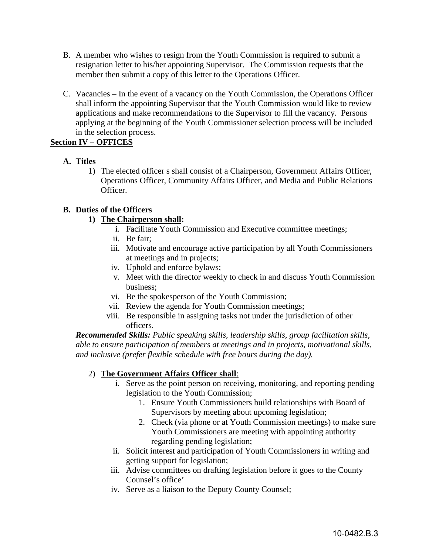- B. A member who wishes to resign from the Youth Commission is required to submit a resignation letter to his/her appointing Supervisor. The Commission requests that the member then submit a copy of this letter to the Operations Officer.
- C. Vacancies In the event of a vacancy on the Youth Commission, the Operations Officer shall inform the appointing Supervisor that the Youth Commission would like to review applications and make recommendations to the Supervisor to fill the vacancy. Persons applying at the beginning of the Youth Commissioner selection process will be included in the selection process.

# **Section IV – OFFICES**

# **A. Titles**

1) The elected officer s shall consist of a Chairperson, Government Affairs Officer, Operations Officer, Community Affairs Officer, and Media and Public Relations Officer.

# **B. Duties of the Officers**

# **1) The Chairperson shall:**

- i. Facilitate Youth Commission and Executive committee meetings;
- ii. Be fair;
- iii. Motivate and encourage active participation by all Youth Commissioners at meetings and in projects;
- iv. Uphold and enforce bylaws;
- v. Meet with the director weekly to check in and discuss Youth Commission business;
- vi. Be the spokesperson of the Youth Commission;
- vii. Review the agenda for Youth Commission meetings;
- viii. Be responsible in assigning tasks not under the jurisdiction of other officers.

*Recommended Skills: Public speaking skills, leadership skills, group facilitation skills, able to ensure participation of members at meetings and in projects, motivational skills, and inclusive (prefer flexible schedule with free hours during the day).* 

### 2) **The Government Affairs Officer shall**:

- i. Serve as the point person on receiving, monitoring, and reporting pending legislation to the Youth Commission;
	- 1. Ensure Youth Commissioners build relationships with Board of Supervisors by meeting about upcoming legislation;
	- 2. Check (via phone or at Youth Commission meetings) to make sure Youth Commissioners are meeting with appointing authority regarding pending legislation;
- ii. Solicit interest and participation of Youth Commissioners in writing and getting support for legislation;
- iii. Advise committees on drafting legislation before it goes to the County Counsel's office'
- iv. Serve as a liaison to the Deputy County Counsel;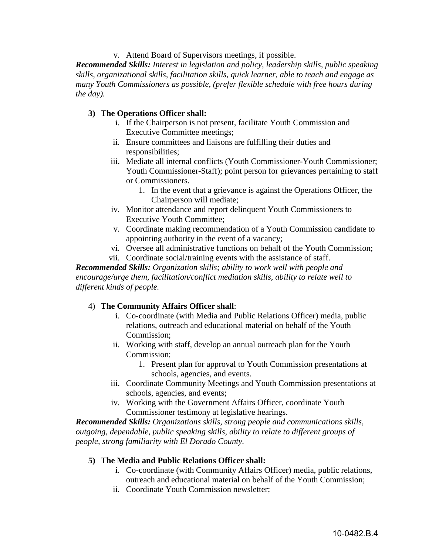v. Attend Board of Supervisors meetings, if possible.

*Recommended Skills: Interest in legislation and policy, leadership skills, public speaking skills, organizational skills, facilitation skills, quick learner, able to teach and engage as many Youth Commissioners as possible, (prefer flexible schedule with free hours during the day).* 

#### **3) The Operations Officer shall:**

- i. If the Chairperson is not present, facilitate Youth Commission and Executive Committee meetings;
- ii. Ensure committees and liaisons are fulfilling their duties and responsibilities;
- iii. Mediate all internal conflicts (Youth Commissioner-Youth Commissioner; Youth Commissioner-Staff); point person for grievances pertaining to staff or Commissioners.
	- 1. In the event that a grievance is against the Operations Officer, the Chairperson will mediate;
- iv. Monitor attendance and report delinquent Youth Commissioners to Executive Youth Committee;
- v. Coordinate making recommendation of a Youth Commission candidate to appointing authority in the event of a vacancy;
- vi. Oversee all administrative functions on behalf of the Youth Commission;
- vii. Coordinate social/training events with the assistance of staff.

*Recommended Skills: Organization skills; ability to work well with people and encourage/urge them, facilitation/conflict mediation skills, ability to relate well to different kinds of people.* 

#### 4) **The Community Affairs Officer shall**:

- i. Co-coordinate (with Media and Public Relations Officer) media, public relations, outreach and educational material on behalf of the Youth Commission;
- ii. Working with staff, develop an annual outreach plan for the Youth Commission;
	- 1. Present plan for approval to Youth Commission presentations at schools, agencies, and events.
- iii. Coordinate Community Meetings and Youth Commission presentations at schools, agencies, and events;
- iv. Working with the Government Affairs Officer, coordinate Youth Commissioner testimony at legislative hearings.

*Recommended Skills: Organizations skills, strong people and communications skills, outgoing, dependable, public speaking skills, ability to relate to different groups of people, strong familiarity with El Dorado County.* 

#### **5) The Media and Public Relations Officer shall:**

- i. Co-coordinate (with Community Affairs Officer) media, public relations, outreach and educational material on behalf of the Youth Commission;
- ii. Coordinate Youth Commission newsletter;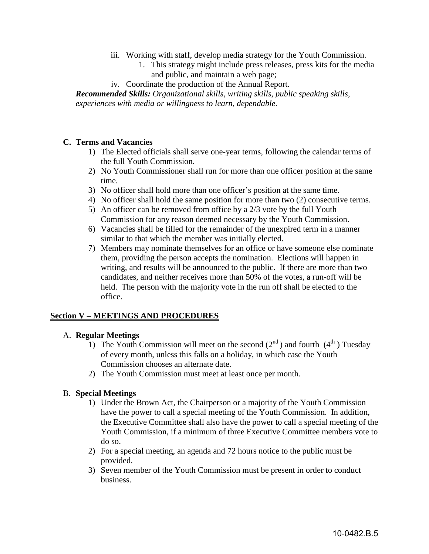- iii. Working with staff, develop media strategy for the Youth Commission.
	- 1. This strategy might include press releases, press kits for the media and public, and maintain a web page;
- iv. Coordinate the production of the Annual Report.

*Recommended Skills: Organizational skills, writing skills, public speaking skills, experiences with media or willingness to learn, dependable.* 

### **C. Terms and Vacancies**

- 1) The Elected officials shall serve one-year terms, following the calendar terms of the full Youth Commission.
- 2) No Youth Commissioner shall run for more than one officer position at the same time.
- 3) No officer shall hold more than one officer's position at the same time.
- 4) No officer shall hold the same position for more than two (2) consecutive terms.
- 5) An officer can be removed from office by a 2/3 vote by the full Youth Commission for any reason deemed necessary by the Youth Commission.
- 6) Vacancies shall be filled for the remainder of the unexpired term in a manner similar to that which the member was initially elected.
- 7) Members may nominate themselves for an office or have someone else nominate them, providing the person accepts the nomination. Elections will happen in writing, and results will be announced to the public. If there are more than two candidates, and neither receives more than 50% of the votes, a run-off will be held. The person with the majority vote in the run off shall be elected to the office.

### **Section V – MEETINGS AND PROCEDURES**

#### A. **Regular Meetings**

- 1) The Youth Commission will meet on the second  $(2^{nd})$  and fourth  $(4^{th})$  Tuesday of every month, unless this falls on a holiday, in which case the Youth Commission chooses an alternate date.
- 2) The Youth Commission must meet at least once per month.

#### B. **Special Meetings**

- 1) Under the Brown Act, the Chairperson or a majority of the Youth Commission have the power to call a special meeting of the Youth Commission. In addition, the Executive Committee shall also have the power to call a special meeting of the Youth Commission, if a minimum of three Executive Committee members vote to do so.
- 2) For a special meeting, an agenda and 72 hours notice to the public must be provided.
- 3) Seven member of the Youth Commission must be present in order to conduct business.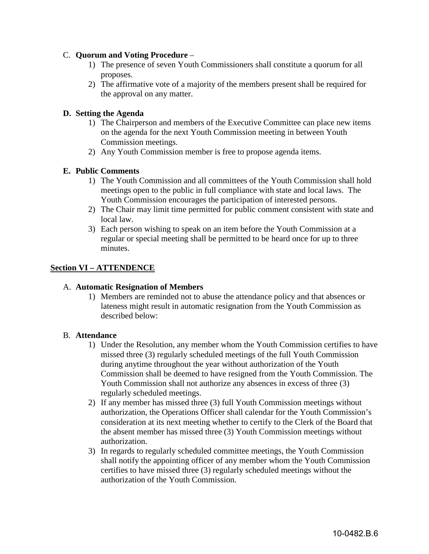### C. **Quorum and Voting Procedure** –

- 1) The presence of seven Youth Commissioners shall constitute a quorum for all proposes.
- 2) The affirmative vote of a majority of the members present shall be required for the approval on any matter.

### **D. Setting the Agenda**

- 1) The Chairperson and members of the Executive Committee can place new items on the agenda for the next Youth Commission meeting in between Youth Commission meetings.
- 2) Any Youth Commission member is free to propose agenda items.

### **E. Public Comments**

- 1) The Youth Commission and all committees of the Youth Commission shall hold meetings open to the public in full compliance with state and local laws. The Youth Commission encourages the participation of interested persons.
- 2) The Chair may limit time permitted for public comment consistent with state and local law.
- 3) Each person wishing to speak on an item before the Youth Commission at a regular or special meeting shall be permitted to be heard once for up to three minutes.

### **Section VI – ATTENDENCE**

#### A. **Automatic Resignation of Members**

1) Members are reminded not to abuse the attendance policy and that absences or lateness might result in automatic resignation from the Youth Commission as described below:

#### B. **Attendance**

- 1) Under the Resolution, any member whom the Youth Commission certifies to have missed three (3) regularly scheduled meetings of the full Youth Commission during anytime throughout the year without authorization of the Youth Commission shall be deemed to have resigned from the Youth Commission. The Youth Commission shall not authorize any absences in excess of three (3) regularly scheduled meetings.
- 2) If any member has missed three (3) full Youth Commission meetings without authorization, the Operations Officer shall calendar for the Youth Commission's consideration at its next meeting whether to certify to the Clerk of the Board that the absent member has missed three (3) Youth Commission meetings without authorization.
- 3) In regards to regularly scheduled committee meetings, the Youth Commission shall notify the appointing officer of any member whom the Youth Commission certifies to have missed three (3) regularly scheduled meetings without the authorization of the Youth Commission.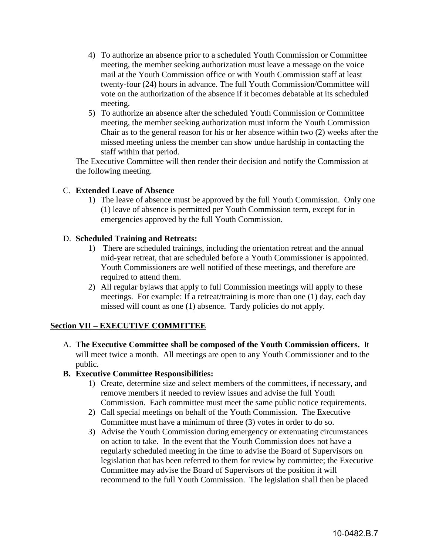- 4) To authorize an absence prior to a scheduled Youth Commission or Committee meeting, the member seeking authorization must leave a message on the voice mail at the Youth Commission office or with Youth Commission staff at least twenty-four (24) hours in advance. The full Youth Commission/Committee will vote on the authorization of the absence if it becomes debatable at its scheduled meeting.
- 5) To authorize an absence after the scheduled Youth Commission or Committee meeting, the member seeking authorization must inform the Youth Commission Chair as to the general reason for his or her absence within two (2) weeks after the missed meeting unless the member can show undue hardship in contacting the staff within that period.

The Executive Committee will then render their decision and notify the Commission at the following meeting.

### C. **Extended Leave of Absence**

1) The leave of absence must be approved by the full Youth Commission. Only one (1) leave of absence is permitted per Youth Commission term, except for in emergencies approved by the full Youth Commission.

### D. **Scheduled Training and Retreats:**

- 1) There are scheduled trainings, including the orientation retreat and the annual mid-year retreat, that are scheduled before a Youth Commissioner is appointed. Youth Commissioners are well notified of these meetings, and therefore are required to attend them.
- 2) All regular bylaws that apply to full Commission meetings will apply to these meetings. For example: If a retreat/training is more than one (1) day, each day missed will count as one (1) absence. Tardy policies do not apply.

# **Section VII – EXECUTIVE COMMITTEE**

- A. **The Executive Committee shall be composed of the Youth Commission officers.** It will meet twice a month. All meetings are open to any Youth Commissioner and to the public.
- **B. Executive Committee Responsibilities:** 
	- 1) Create, determine size and select members of the committees, if necessary, and remove members if needed to review issues and advise the full Youth Commission. Each committee must meet the same public notice requirements.
	- 2) Call special meetings on behalf of the Youth Commission. The Executive Committee must have a minimum of three (3) votes in order to do so.
	- 3) Advise the Youth Commission during emergency or extenuating circumstances on action to take. In the event that the Youth Commission does not have a regularly scheduled meeting in the time to advise the Board of Supervisors on legislation that has been referred to them for review by committee; the Executive Committee may advise the Board of Supervisors of the position it will recommend to the full Youth Commission. The legislation shall then be placed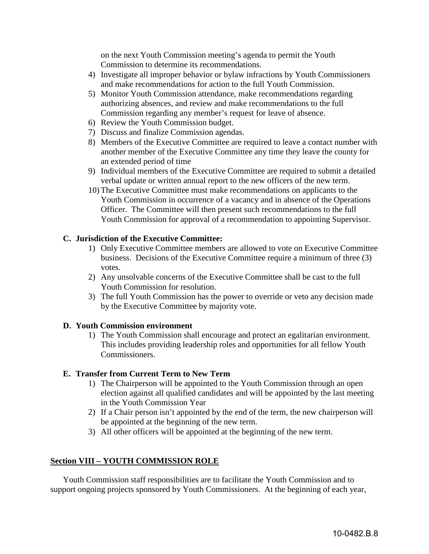on the next Youth Commission meeting's agenda to permit the Youth Commission to determine its recommendations.

- 4) Investigate all improper behavior or bylaw infractions by Youth Commissioners and make recommendations for action to the full Youth Commission.
- 5) Monitor Youth Commission attendance, make recommendations regarding authorizing absences, and review and make recommendations to the full Commission regarding any member's request for leave of absence.
- 6) Review the Youth Commission budget.
- 7) Discuss and finalize Commission agendas.
- 8) Members of the Executive Committee are required to leave a contact number with another member of the Executive Committee any time they leave the county for an extended period of time
- 9) Individual members of the Executive Committee are required to submit a detailed verbal update or written annual report to the new officers of the new term.
- 10) The Executive Committee must make recommendations on applicants to the Youth Commission in occurrence of a vacancy and in absence of the Operations Officer. The Committee will then present such recommendations to the full Youth Commission for approval of a recommendation to appointing Supervisor.

### **C. Jurisdiction of the Executive Committee:**

- 1) Only Executive Committee members are allowed to vote on Executive Committee business. Decisions of the Executive Committee require a minimum of three (3) votes.
- 2) Any unsolvable concerns of the Executive Committee shall be cast to the full Youth Commission for resolution.
- 3) The full Youth Commission has the power to override or veto any decision made by the Executive Committee by majority vote.

#### **D. Youth Commission environment**

1) The Youth Commission shall encourage and protect an egalitarian environment. This includes providing leadership roles and opportunities for all fellow Youth Commissioners.

#### **E. Transfer from Current Term to New Term**

- 1) The Chairperson will be appointed to the Youth Commission through an open election against all qualified candidates and will be appointed by the last meeting in the Youth Commission Year
- 2) If a Chair person isn't appointed by the end of the term, the new chairperson will be appointed at the beginning of the new term.
- 3) All other officers will be appointed at the beginning of the new term.

### **Section VIII – YOUTH COMMISSION ROLE**

Youth Commission staff responsibilities are to facilitate the Youth Commission and to support ongoing projects sponsored by Youth Commissioners. At the beginning of each year,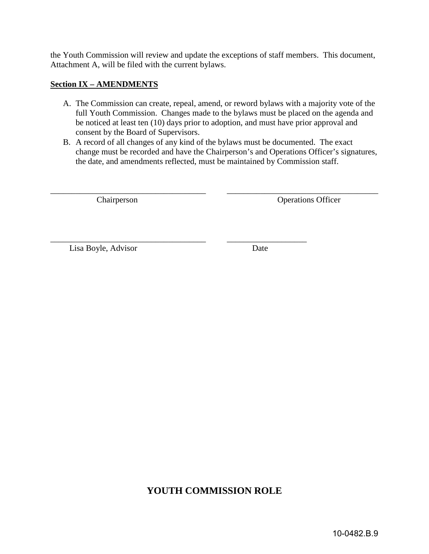the Youth Commission will review and update the exceptions of staff members. This document, Attachment A, will be filed with the current bylaws.

### **Section IX – AMENDMENTS**

- A. The Commission can create, repeal, amend, or reword bylaws with a majority vote of the full Youth Commission. Changes made to the bylaws must be placed on the agenda and be noticed at least ten (10) days prior to adoption, and must have prior approval and consent by the Board of Supervisors.
- B. A record of all changes of any kind of the bylaws must be documented. The exact change must be recorded and have the Chairperson's and Operations Officer's signatures, the date, and amendments reflected, must be maintained by Commission staff.

\_\_\_\_\_\_\_\_\_\_\_\_\_\_\_\_\_\_\_\_\_\_\_\_\_\_\_\_\_\_\_\_\_\_\_\_\_ \_\_\_\_\_\_\_\_\_\_\_\_\_\_\_\_\_\_\_\_\_\_\_\_\_\_\_\_\_\_\_\_\_\_\_\_

Chairperson Operations Officer

Lisa Boyle, Advisor Date

\_\_\_\_\_\_\_\_\_\_\_\_\_\_\_\_\_\_\_\_\_\_\_\_\_\_\_\_\_\_\_\_\_\_\_\_\_ \_\_\_\_\_\_\_\_\_\_\_\_\_\_\_\_\_\_\_

# **YOUTH COMMISSION ROLE**